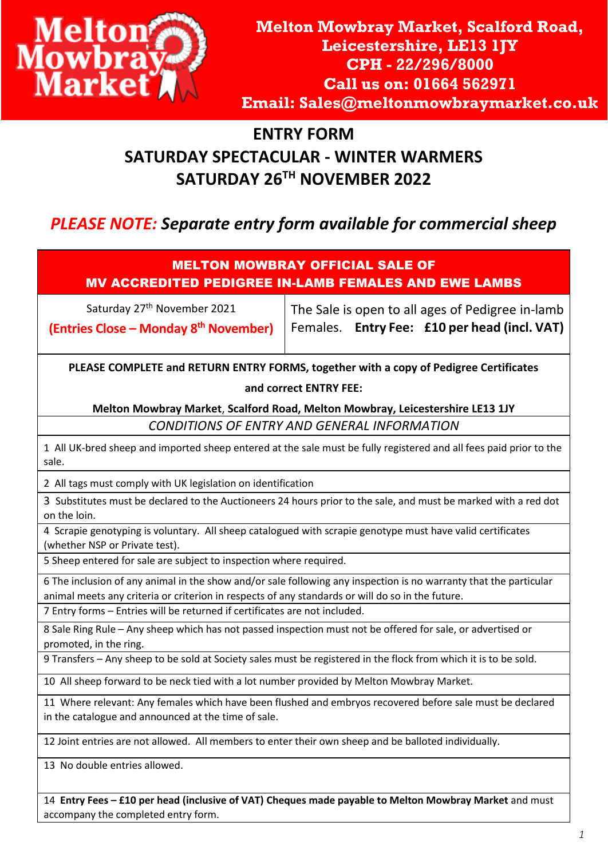

## **ENTRY FORM SATURDAY SPECTACULAR - WINTER WARMERS SATURDAY 26 TH NOVEMBER 2022**

## *PLEASE NOTE: Separate entry form available for commercial sheep*

#### MELTON MOWBRAY OFFICIAL SALE OF MV ACCREDITED PEDIGREE IN-LAMB FEMALES AND EWE LAMBS

Saturday 27<sup>th</sup> November 2021 **(Entries Close – Monday 8 th November)** The Sale is open to all ages of Pedigree in-lamb Females. **Entry Fee: £10 per head (incl. VAT)** 

**PLEASE COMPLETE and RETURN ENTRY FORMS, together with a copy of Pedigree Certificates and correct ENTRY FEE:** 

**Melton Mowbray Market**, **Scalford Road, Melton Mowbray, Leicestershire LE13 1JY**

*CONDITIONS OF ENTRY AND GENERAL INFORMATION*

1 All UK-bred sheep and imported sheep entered at the sale must be fully registered and all fees paid prior to the sale.

2 All tags must comply with UK legislation on identification

3 Substitutes must be declared to the Auctioneers 24 hours prior to the sale, and must be marked with a red dot on the loin.

4 Scrapie genotyping is voluntary. All sheep catalogued with scrapie genotype must have valid certificates (whether NSP or Private test).

5 Sheep entered for sale are subject to inspection where required.

6 The inclusion of any animal in the show and/or sale following any inspection is no warranty that the particular animal meets any criteria or criterion in respects of any standards or will do so in the future.

7 Entry forms – Entries will be returned if certificates are not included.

8 Sale Ring Rule – Any sheep which has not passed inspection must not be offered for sale, or advertised or promoted, in the ring.

9 Transfers – Any sheep to be sold at Society sales must be registered in the flock from which it is to be sold.

10 All sheep forward to be neck tied with a lot number provided by Melton Mowbray Market.

11 Where relevant: Any females which have been flushed and embryos recovered before sale must be declared in the catalogue and announced at the time of sale.

12 Joint entries are not allowed. All members to enter their own sheep and be balloted individually.

13 No double entries allowed.

14 **Entry Fees – £10 per head (inclusive of VAT) Cheques made payable to Melton Mowbray Market** and must accompany the completed entry form.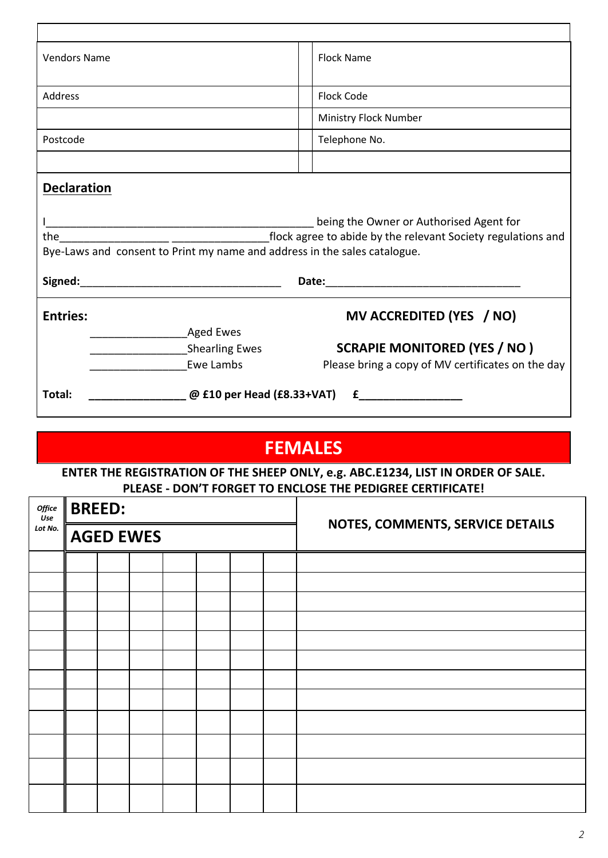| <b>Vendors Name</b>                                                                                                                              | <b>Flock Name</b>                                                                                                                                                                                                                                                  |  |  |  |  |  |  |  |
|--------------------------------------------------------------------------------------------------------------------------------------------------|--------------------------------------------------------------------------------------------------------------------------------------------------------------------------------------------------------------------------------------------------------------------|--|--|--|--|--|--|--|
| Address                                                                                                                                          | <b>Flock Code</b>                                                                                                                                                                                                                                                  |  |  |  |  |  |  |  |
|                                                                                                                                                  | Ministry Flock Number                                                                                                                                                                                                                                              |  |  |  |  |  |  |  |
| Postcode                                                                                                                                         | Telephone No.                                                                                                                                                                                                                                                      |  |  |  |  |  |  |  |
|                                                                                                                                                  |                                                                                                                                                                                                                                                                    |  |  |  |  |  |  |  |
| <b>Declaration</b>                                                                                                                               |                                                                                                                                                                                                                                                                    |  |  |  |  |  |  |  |
|                                                                                                                                                  |                                                                                                                                                                                                                                                                    |  |  |  |  |  |  |  |
|                                                                                                                                                  | being the Owner or Authorised Agent for                                                                                                                                                                                                                            |  |  |  |  |  |  |  |
| Flock agree to abide by the relevant Society regulations and<br>the<br>Bye-Laws and consent to Print my name and address in the sales catalogue. |                                                                                                                                                                                                                                                                    |  |  |  |  |  |  |  |
|                                                                                                                                                  |                                                                                                                                                                                                                                                                    |  |  |  |  |  |  |  |
|                                                                                                                                                  |                                                                                                                                                                                                                                                                    |  |  |  |  |  |  |  |
| <b>Entries:</b>                                                                                                                                  | MV ACCREDITED (YES / NO)                                                                                                                                                                                                                                           |  |  |  |  |  |  |  |
| <b>Aged Ewes</b>                                                                                                                                 |                                                                                                                                                                                                                                                                    |  |  |  |  |  |  |  |
| Shearling Ewes                                                                                                                                   | <b>SCRAPIE MONITORED (YES / NO)</b>                                                                                                                                                                                                                                |  |  |  |  |  |  |  |
| Ewe Lambs                                                                                                                                        | Please bring a copy of MV certificates on the day                                                                                                                                                                                                                  |  |  |  |  |  |  |  |
| Total:                                                                                                                                           | $\Box$ @ £10 per Head (£8.33+VAT)<br>$f$ and $f$ and $f$ and $f$ and $f$ and $f$ and $f$ and $f$ and $f$ and $f$ and $f$ and $f$ and $f$ and $f$ and $f$ and $f$ and $f$ and $f$ and $f$ and $f$ and $f$ and $f$ and $f$ and $f$ and $f$ and $f$ and $f$ and $f$ a |  |  |  |  |  |  |  |

# **FEMALES**

**ENTER THE REGISTRATION OF THE SHEEP ONLY, e.g. ABC.E1234, LIST IN ORDER OF SALE. PLEASE - DON'T FORGET TO ENCLOSE THE PEDIGREE CERTIFICATE!**

| Office<br>Use | <b>BREED:</b> |                  |  |  | NOTES, COMMENTS, SERVICE DETAILS |
|---------------|---------------|------------------|--|--|----------------------------------|
| Lot No.       |               | <b>AGED EWES</b> |  |  |                                  |
|               |               |                  |  |  |                                  |
|               |               |                  |  |  |                                  |
|               |               |                  |  |  |                                  |
|               |               |                  |  |  |                                  |
|               |               |                  |  |  |                                  |
|               |               |                  |  |  |                                  |
|               |               |                  |  |  |                                  |
|               |               |                  |  |  |                                  |
|               |               |                  |  |  |                                  |
|               |               |                  |  |  |                                  |
|               |               |                  |  |  |                                  |
|               |               |                  |  |  |                                  |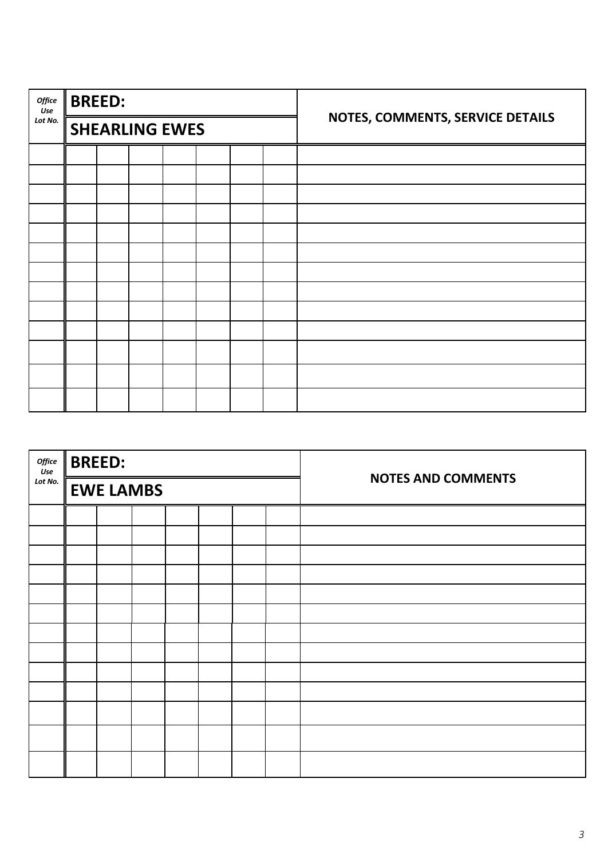| Office<br>Use | <b>BREED:</b> |                       |  |  |                                  |
|---------------|---------------|-----------------------|--|--|----------------------------------|
| Lot No.       |               | <b>SHEARLING EWES</b> |  |  | NOTES, COMMENTS, SERVICE DETAILS |
|               |               |                       |  |  |                                  |
|               |               |                       |  |  |                                  |
|               |               |                       |  |  |                                  |
|               |               |                       |  |  |                                  |
|               |               |                       |  |  |                                  |
|               |               |                       |  |  |                                  |
|               |               |                       |  |  |                                  |
|               |               |                       |  |  |                                  |
|               |               |                       |  |  |                                  |
|               |               |                       |  |  |                                  |
|               |               |                       |  |  |                                  |
|               |               |                       |  |  |                                  |
|               |               |                       |  |  |                                  |

| Office<br>Use | <b>BREED:</b>    |  |  |                           |
|---------------|------------------|--|--|---------------------------|
| Lot No.       | <b>EWE LAMBS</b> |  |  | <b>NOTES AND COMMENTS</b> |
|               |                  |  |  |                           |
|               |                  |  |  |                           |
|               |                  |  |  |                           |
|               |                  |  |  |                           |
|               |                  |  |  |                           |
|               |                  |  |  |                           |
|               |                  |  |  |                           |
|               |                  |  |  |                           |
|               |                  |  |  |                           |
|               |                  |  |  |                           |
|               |                  |  |  |                           |
|               |                  |  |  |                           |
|               |                  |  |  |                           |